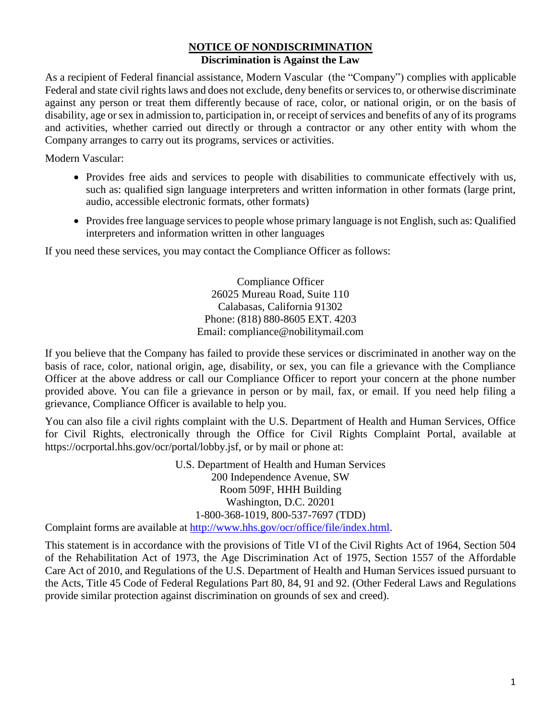## **NOTICE OF NONDISCRIMINATION Discrimination is Against the Law**

As a recipient of Federal financial assistance, Modern Vascular (the "Company") complies with applicable Federal and state civil rights laws and does not exclude, deny benefits or services to, or otherwise discriminate against any person or treat them differently because of race, color, or national origin, or on the basis of disability, age or sex in admission to, participation in, or receipt of services and benefits of any of its programs and activities, whether carried out directly or through a contractor or any other entity with whom the Company arranges to carry out its programs, services or activities.

Modern Vascular:

- Provides free aids and services to people with disabilities to communicate effectively with us, such as: qualified sign language interpreters and written information in other formats (large print, audio, accessible electronic formats, other formats)
- Provides free language services to people whose primary language is not English, such as: Qualified interpreters and information written in other languages

If you need these services, you may contact the Compliance Officer as follows:

Compliance Officer 26025 Mureau Road, Suite 110 Calabasas, California 91302 Phone: (818) 880-8605 EXT. 4203 Email: [compliance@nobilitymail.com](mailto:compliance@nobilitymail.com)

If you believe that the Company has failed to provide these services or discriminated in another way on the basis of race, color, national origin, age, disability, or sex, you can file a grievance with the Compliance Officer at the above address or call our Compliance Officer to report your concern at the phone number provided above. You can file a grievance in person or by mail, fax, or email. If you need help filing a grievance, Compliance Officer is available to help you.

You can also file a civil rights complaint with the U.S. Department of Health and Human Services, Office for Civil Rights, electronically through the Office for Civil Rights Complaint Portal, available at https://ocrportal.hhs.gov/ocr/portal/lobby.jsf, or by mail or phone at:

> U.S. Department of Health and Human Services 200 Independence Avenue, SW Room 509F, HHH Building Washington, D.C. 20201 1-800-368-1019, 800-537-7697 (TDD)

Complaint forms are available at [http://www.hhs.gov/ocr/office/file/index.html.](http://www.hhs.gov/ocr/office/file/index.html)

This statement is in accordance with the provisions of Title VI of the Civil Rights Act of 1964, Section 504 of the Rehabilitation Act of 1973, the Age Discrimination Act of 1975, Section 1557 of the Affordable Care Act of 2010, and Regulations of the U.S. Department of Health and Human Services issued pursuant to the Acts, Title 45 Code of Federal Regulations Part 80, 84, 91 and 92. (Other Federal Laws and Regulations provide similar protection against discrimination on grounds of sex and creed).